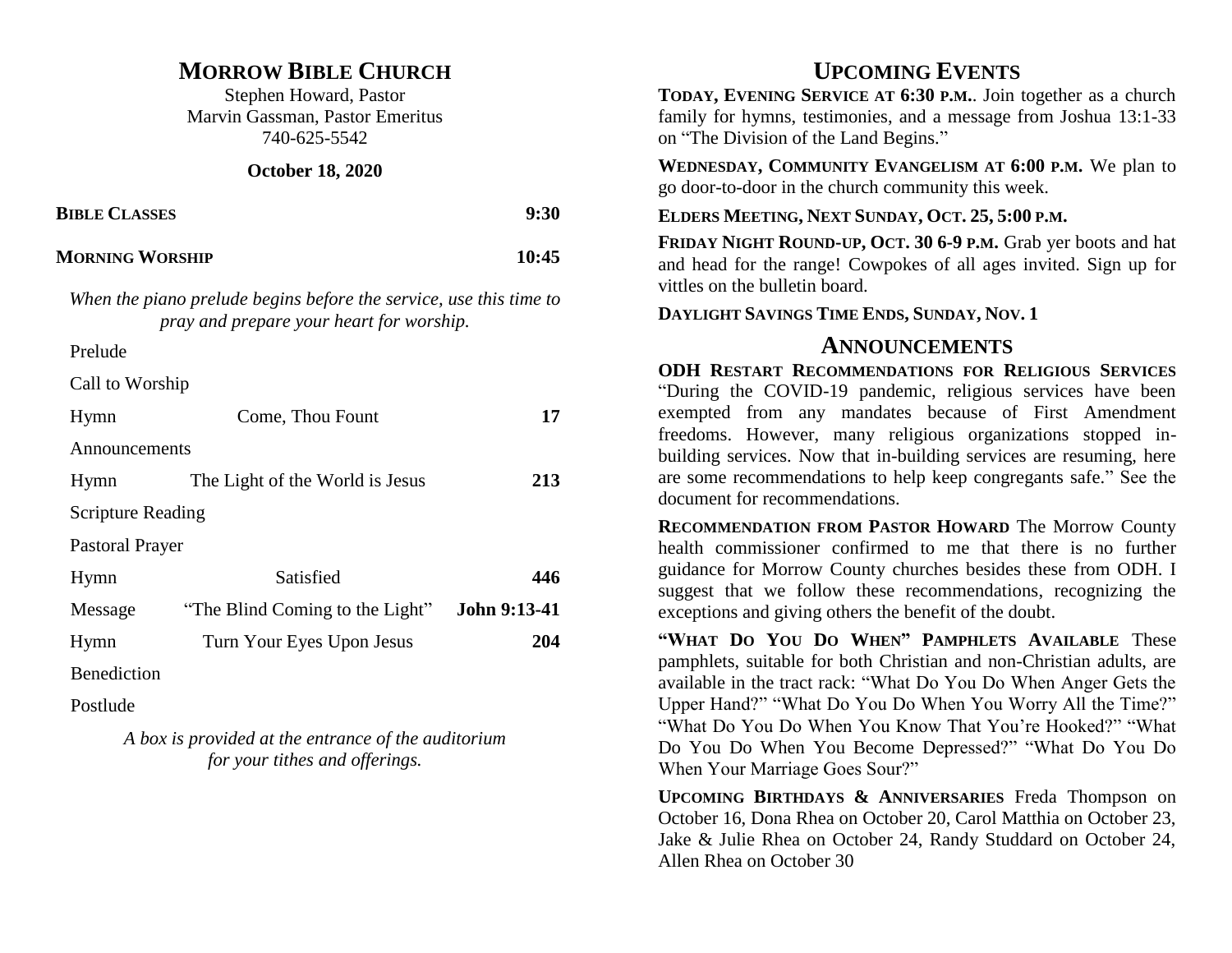## **MORROW BIBLE CHURCH**

Stephen Howard, Pastor Marvin Gassman, Pastor Emeritus 740-625-5542

### **October 18, 2020**

| <b>BIBLE CLASSES</b>   | 9:30  |
|------------------------|-------|
| <b>MORNING WORSHIP</b> | 10:45 |

*When the piano prelude begins before the service, use this time to pray and prepare your heart for worship.* 

Prelude

Call to Worship

| Hymn                     | Come, Thou Fount                | 17           |
|--------------------------|---------------------------------|--------------|
| Announcements            |                                 |              |
| Hymn                     | The Light of the World is Jesus | 213          |
| <b>Scripture Reading</b> |                                 |              |
| Pastoral Prayer          |                                 |              |
| Hymn                     | Satisfied                       | 446          |
| Message                  | "The Blind Coming to the Light" | John 9:13-41 |
| Hymn                     | Turn Your Eyes Upon Jesus       | 204          |
| <b>Benediction</b>       |                                 |              |

Postlude

*A box is provided at the entrance of the auditorium for your tithes and offerings.* 

# **UPCOMING EVENTS**

**TODAY, EVENING SERVICE AT 6:30 P.M.**. Join together as a church family for hymns, testimonies, and a message from Joshua 13:1-33 on "The Division of the Land Begins."

**WEDNESDAY, COMMUNITY EVANGELISM AT 6:00 P.M.** We plan to go door-to-door in the church community this week.

### **ELDERS MEETING, NEXT SUNDAY, OCT. 25, 5:00 P.M.**

**FRIDAY NIGHT ROUND-UP, OCT. 30 6-9 P.M.** Grab yer boots and hat and head for the range! Cowpokes of all ages invited. Sign up for vittles on the bulletin board.

**DAYLIGHT SAVINGS TIME ENDS, SUNDAY, NOV. 1**

### **ANNOUNCEMENTS**

**ODH RESTART RECOMMENDATIONS FOR RELIGIOUS SERVICES** "During the COVID-19 pandemic, religious services have been exempted from any mandates because of First Amendment freedoms. However, many religious organizations stopped inbuilding services. Now that in-building services are resuming, here are some recommendations to help keep congregants safe." See the document for recommendations.

**RECOMMENDATION FROM PASTOR HOWARD** The Morrow County health commissioner confirmed to me that there is no further guidance for Morrow County churches besides these from ODH. I suggest that we follow these recommendations, recognizing the exceptions and giving others the benefit of the doubt.

**"WHAT DO YOU DO WHEN" PAMPHLETS AVAILABLE** These pamphlets, suitable for both Christian and non-Christian adults, are available in the tract rack: "What Do You Do When Anger Gets the Upper Hand?" "What Do You Do When You Worry All the Time?" "What Do You Do When You Know That You're Hooked?" "What Do You Do When You Become Depressed?" "What Do You Do When Your Marriage Goes Sour?"

**UPCOMING BIRTHDAYS & ANNIVERSARIES** Freda Thompson on October 16, Dona Rhea on October 20, Carol Matthia on October 23, Jake & Julie Rhea on October 24, Randy Studdard on October 24, Allen Rhea on October 30